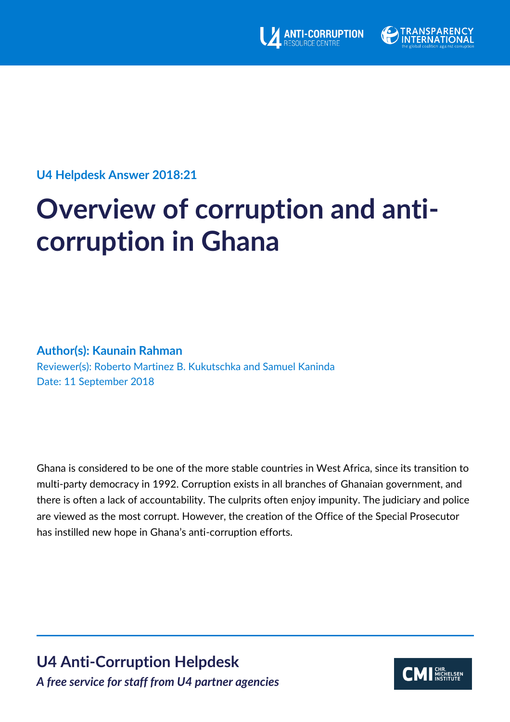



**U4 Helpdesk Answer 2018:21**

# **Overview of corruption and anticorruption in Ghana**

# **Author(s): Kaunain Rahman**

Reviewer(s): Roberto Martinez B. Kukutschka and Samuel Kaninda Date: 11 September 2018

Ghana is considered to be one of the more stable countries in West Africa, since its transition to multi-party democracy in 1992. Corruption exists in all branches of Ghanaian government, and there is often a lack of accountability. The culprits often enjoy impunity. The judiciary and police are viewed as the most corrupt. However, the creation of the Office of the Special Prosecutor has instilled new hope in Ghana's anti-corruption efforts.

**U4 Anti-Corruption Helpdesk** *A free service for staff from U4 partner agencies*

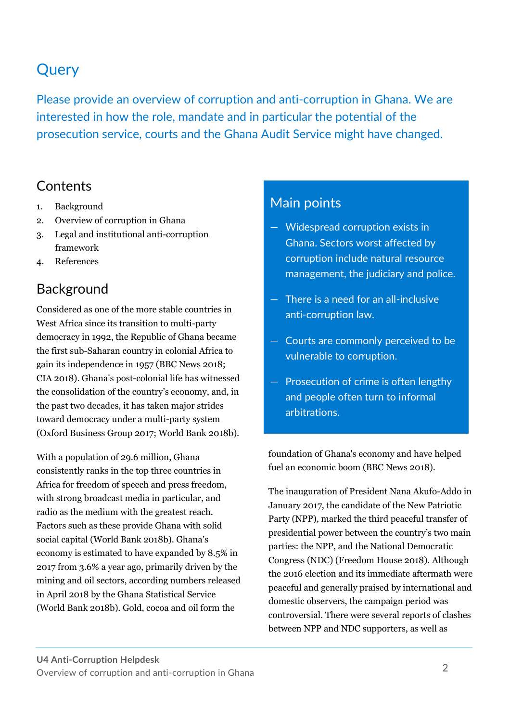# **Query**

Please provide an overview of corruption and anti-corruption in Ghana. We are interested in how the role, mandate and in particular the potential of the prosecution service, courts and the Ghana Audit Service might have changed.

# **Contents**

- 1. Background
- 2. Overview of corruption in Ghana
- 3. Legal and institutional anti-corruption framework
- 4. References

# Background

Considered as one of the more stable countries in West Africa since its transition to multi-party democracy in 1992, the Republic of Ghana became the first sub-Saharan country in colonial Africa to gain its independence in 1957 (BBC News 2018; CIA 2018). Ghana's post-colonial life has witnessed the consolidation of the country's economy, and, in the past two decades, it has taken major strides toward democracy under a multi-party system (Oxford Business Group 2017; World Bank 2018b).

With a population of 29.6 million, Ghana consistently ranks in the top three countries in Africa for freedom of speech and press freedom, with strong broadcast media in particular, and radio as the medium with the greatest reach. Factors such as these provide Ghana with solid social capital (World Bank 2018b). Ghana's economy is estimated to have expanded by 8.5% in 2017 from 3.6% a year ago, primarily driven by the mining and oil sectors, according numbers released in April 2018 by the Ghana Statistical Service (World Bank 2018b). Gold, cocoa and oil form the

# Main points

- Widespread corruption exists in Ghana. Sectors worst affected by corruption include natural resource management, the judiciary and police.
- There is a need for an all-inclusive anti-corruption law.
- Courts are commonly perceived to be vulnerable to corruption.
- Prosecution of crime is often lengthy and people often turn to informal arbitrations.

foundation of Ghana's economy and have helped fuel an economic boom (BBC News 2018).

The inauguration of President Nana Akufo-Addo in January 2017, the candidate of the New Patriotic Party (NPP), marked the third peaceful transfer of presidential power between the country's two main parties: the NPP, and the National Democratic Congress (NDC) (Freedom House 2018). Although the 2016 election and its immediate aftermath were peaceful and generally praised by international and domestic observers, the campaign period was controversial. There were several reports of clashes between NPP and NDC supporters, as well as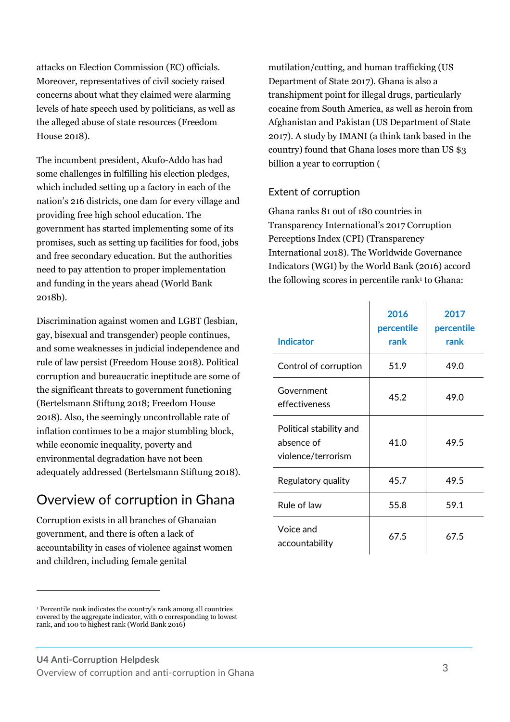attacks on Election Commission (EC) officials. Moreover, representatives of civil society raised concerns about what they claimed were alarming levels of hate speech used by politicians, as well as the alleged abuse of state resources (Freedom House 2018).

The incumbent president, Akufo-Addo has had some challenges in fulfilling his election pledges, which included setting up a factory in each of the nation's 216 districts, one dam for every village and providing free high school education. The government has started implementing some of its promises, such as setting up facilities for food, jobs and free secondary education. But the authorities need to pay attention to proper implementation and funding in the years ahead (World Bank 2018b).

Discrimination against women and LGBT (lesbian, gay, bisexual and transgender) people continues, and some weaknesses in judicial independence and rule of law persist (Freedom House 2018). Political corruption and bureaucratic ineptitude are some of the significant threats to government functioning (Bertelsmann Stiftung 2018; Freedom House 2018). Also, the seemingly uncontrollable rate of inflation continues to be a major stumbling block, while economic inequality, poverty and environmental degradation have not been adequately addressed (Bertelsmann Stiftung 2018).

# Overview of corruption in Ghana

Corruption exists in all branches of Ghanaian government, and there is often a lack of accountability in cases of violence against women and children, including female genital

 $\overline{a}$ 

mutilation/cutting, and human trafficking (US Department of State 2017). Ghana is also a transhipment point for illegal drugs, particularly cocaine from South America, as well as heroin from Afghanistan and Pakistan (US Department of State 2017). A study by IMANI (a think tank based in the country) found that Ghana loses more than US \$3 billion a year to corruption (

# Extent of corruption

Ghana ranks 81 out of 180 countries in Transparency International's 2017 Corruption Perceptions Index (CPI) (Transparency International 2018). The Worldwide Governance Indicators (WGI) by the World Bank (2016) accord the following scores in percentile rank $1$  to Ghana:

| <b>Indicator</b>                                            | 2016<br>percentile<br>rank | 2017<br>percentile<br>rank |
|-------------------------------------------------------------|----------------------------|----------------------------|
| Control of corruption                                       | 51.9                       | 49.0                       |
| Government<br>effectiveness                                 | 45.2                       | 49.0                       |
| Political stability and<br>absence of<br>violence/terrorism | 41.0                       | 49.5                       |
| Regulatory quality                                          | 45.7                       | 49.5                       |
| Rule of law                                                 | 55.8                       | 59.1                       |
| Voice and<br>accountability                                 | 67.5                       | 67.5                       |

<sup>1</sup> Percentile rank indicates the country's rank among all countries covered by the aggregate indicator, with 0 corresponding to lowest rank, and 100 to highest rank (World Bank 2016)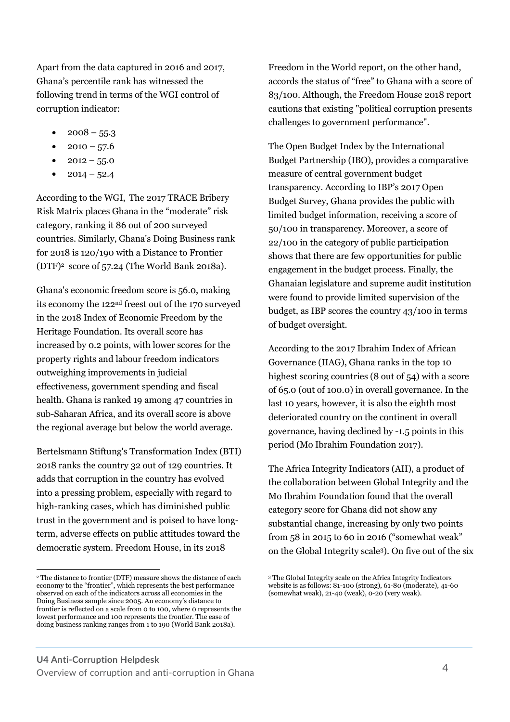Apart from the data captured in 2016 and 2017, Ghana's percentile rank has witnessed the following trend in terms of the WGI control of corruption indicator:

- $2008 55.3$
- $2010 57.6$
- $2012 55.0$
- $2014 52.4$

According to the WGI, The 2017 TRACE Bribery Risk Matrix places Ghana in the "moderate" risk category, ranking it 86 out of 200 surveyed countries. Similarly, Ghana's Doing Business rank for 2018 is 120/190 with a Distance to Frontier (DTF)<sup>2</sup> score of 57.24 (The World Bank 2018a).

Ghana's economic freedom score is 56.0, making its economy the 122nd freest out of the 170 surveyed in the 2018 Index of Economic Freedom by the Heritage Foundation. Its overall score has increased by 0.2 points, with lower scores for the property rights and labour freedom indicators outweighing improvements in judicial effectiveness, government spending and fiscal health. Ghana is ranked 19 among 47 countries in sub-Saharan Africa, and its overall score is above the regional average but below the world average.

Bertelsmann Stiftung's Transformation Index (BTI) 2018 ranks the country 32 out of 129 countries. It adds that corruption in the country has evolved into a pressing problem, especially with regard to high-ranking cases, which has diminished public trust in the government and is poised to have longterm, adverse effects on public attitudes toward the democratic system. Freedom House, in its 2018

Freedom in the World report, on the other hand, accords the status of "free" to Ghana with a score of 83/100. Although, the Freedom House 2018 report cautions that existing "political corruption presents challenges to government performance".

The Open Budget Index by the International Budget Partnership (IBO), provides a comparative measure of central government budget transparency. According to IBP's 2017 Open Budget Survey, Ghana provides the public with limited budget information, receiving a score of 50/100 in transparency. Moreover, a score of 22/100 in the category of public participation shows that there are few opportunities for public engagement in the budget process. Finally, the Ghanaian legislature and supreme audit institution were found to provide limited supervision of the budget, as IBP scores the country 43/100 in terms of budget oversight.

According to the 2017 Ibrahim Index of African Governance (IIAG), Ghana ranks in the top 10 highest scoring countries (8 out of 54) with a score of 65.0 (out of 100.0) in overall governance. In the last 10 years, however, it is also the eighth most deteriorated country on the continent in overall governance, having declined by -1.5 points in this period (Mo Ibrahim Foundation 2017).

The Africa Integrity Indicators (AII), a product of the collaboration between Global Integrity and the Mo Ibrahim Foundation found that the overall category score for Ghana did not show any substantial change, increasing by only two points from 58 in 2015 to 60 in 2016 ("somewhat weak" on the Global Integrity scale<sup>3</sup> ). On five out of the six

 $\ddot{ }$ <sup>2</sup> The distance to frontier (DTF) measure shows the distance of each economy to the "frontier", which represents the best performance observed on each of the indicators across all economies in the Doing Business sample since 2005. An economy's distance to frontier is reflected on a scale from 0 to 100, where 0 represents the lowest performance and 100 represents the frontier. The ease of doing business ranking ranges from 1 to 190 (World Bank 2018a).

<sup>3</sup> The Global Integrity scale on the Africa Integrity Indicators website is as follows: 81-100 (strong), 61-80 (moderate), 41-60 (somewhat weak), 21-40 (weak), 0-20 (very weak).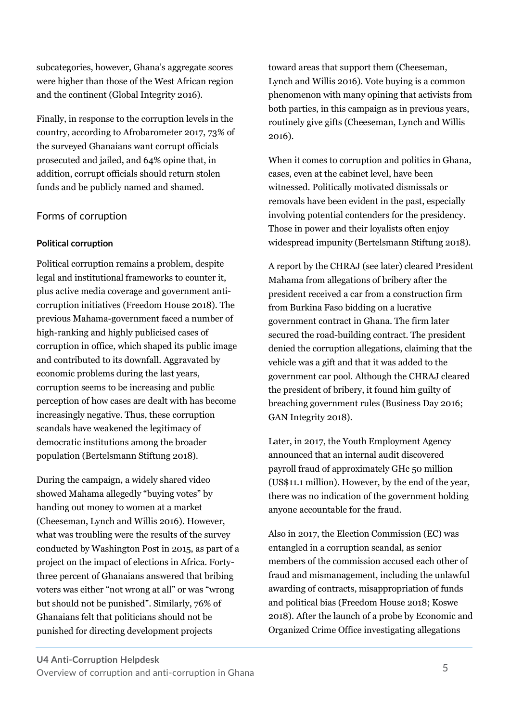subcategories, however, Ghana's aggregate scores were higher than those of the West African region and the continent (Global Integrity 2016).

Finally, in response to the corruption levels in the country, according to Afrobarometer 2017, 73% of the surveyed Ghanaians want corrupt officials prosecuted and jailed, and 64% opine that, in addition, corrupt officials should return stolen funds and be publicly named and shamed.

# Forms of corruption

# **Political corruption**

Political corruption remains a problem, despite legal and institutional frameworks to counter it, plus active media coverage and government anticorruption initiatives (Freedom House 2018). The previous Mahama-government faced a number of high-ranking and highly publicised cases of corruption in office, which shaped its public image and contributed to its downfall. Aggravated by economic problems during the last years, corruption seems to be increasing and public perception of how cases are dealt with has become increasingly negative. Thus, these corruption scandals have weakened the legitimacy of democratic institutions among the broader population (Bertelsmann Stiftung 2018).

During the campaign, a widely shared video showed Mahama allegedly "buying votes" by handing out money to women at a market (Cheeseman, Lynch and Willis 2016). However, what was troubling were the results of the survey conducted by Washington Post in 2015, as part of a project on the impact of elections in Africa. Fortythree percent of Ghanaians answered that bribing voters was either "not wrong at all" or was "wrong but should not be punished". Similarly, 76% of Ghanaians felt that politicians should not be punished for directing development projects

toward areas that support them (Cheeseman, Lynch and Willis 2016). Vote buying is a common phenomenon with many opining that activists from both parties, in this campaign as in previous years, routinely give gifts (Cheeseman, Lynch and Willis 2016).

When it comes to corruption and politics in Ghana, cases, even at the cabinet level, have been witnessed. Politically motivated dismissals or removals have been evident in the past, especially involving potential contenders for the presidency. Those in power and their loyalists often enjoy widespread impunity (Bertelsmann Stiftung 2018).

A report by the CHRAJ (see later) cleared President Mahama from allegations of bribery after the president received a car from a construction firm from Burkina Faso bidding on a lucrative government contract in Ghana. The firm later secured the road-building contract. The president denied the corruption allegations, claiming that the vehicle was a gift and that it was added to the government car pool. Although the CHRAJ cleared the president of bribery, it found him guilty of breaching government rules (Business Day 2016; GAN Integrity 2018).

Later, in 2017, the Youth Employment Agency announced that an internal audit discovered payroll fraud of approximately GHc 50 million (US\$11.1 million). However, by the end of the year, there was no indication of the government holding anyone accountable for the fraud.

Also in 2017, the Election Commission (EC) was entangled in a corruption scandal, as senior members of the commission accused each other of fraud and mismanagement, including the unlawful awarding of contracts, misappropriation of funds and political bias (Freedom House 2018; Koswe 2018). After the launch of a probe by Economic and Organized Crime Office investigating allegations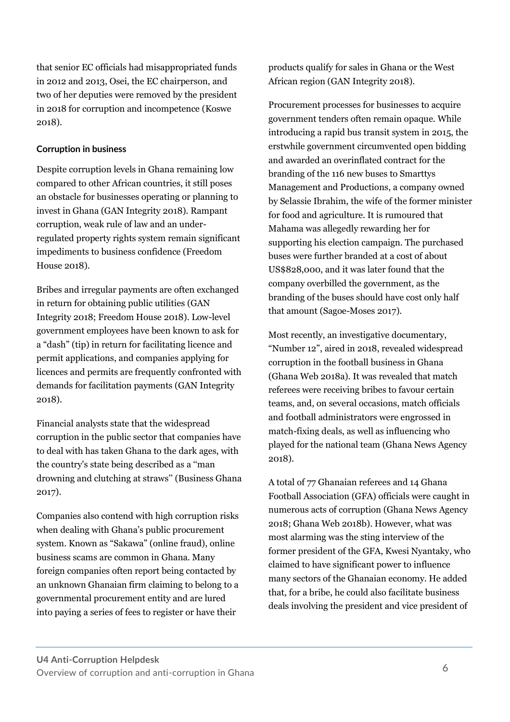that senior EC officials had misappropriated funds in 2012 and 2013, Osei, the EC chairperson, and two of her deputies were removed by the president in 2018 for corruption and incompetence (Koswe 2018).

## **Corruption in business**

Despite corruption levels in Ghana remaining low compared to other African countries, it still poses an obstacle for businesses operating or planning to invest in Ghana (GAN Integrity 2018). Rampant corruption, weak rule of law and an underregulated property rights system remain significant impediments to business confidence (Freedom House 2018).

Bribes and irregular payments are often exchanged in return for obtaining public utilities (GAN Integrity 2018; Freedom House 2018). Low-level government employees have been known to ask for a "dash" (tip) in return for facilitating licence and permit applications, and companies applying for licences and permits are frequently confronted with demands for facilitation payments (GAN Integrity 2018).

Financial analysts state that the widespread corruption in the public sector that companies have to deal with has taken Ghana to the dark ages, with the country's state being described as a ''man drowning and clutching at straws'' (Business Ghana 2017).

Companies also contend with high corruption risks when dealing with Ghana's public procurement system. Known as "Sakawa" (online fraud), online business scams are common in Ghana. Many foreign companies often report being contacted by an unknown Ghanaian firm claiming to belong to a governmental procurement entity and are lured into paying a series of fees to register or have their

products qualify for sales in Ghana or the West African region (GAN Integrity 2018).

Procurement processes for businesses to acquire government tenders often remain opaque. While introducing a rapid bus transit system in 2015, the erstwhile government circumvented open bidding and awarded an overinflated contract for the branding of the 116 new buses to Smarttys Management and Productions, a company owned by Selassie Ibrahim, the wife of the former minister for food and agriculture. It is rumoured that Mahama was allegedly rewarding her for supporting his election campaign. The purchased buses were further branded at a cost of about US\$828,000, and it was later found that the company overbilled the government, as the branding of the buses should have cost only half that amount (Sagoe-Moses 2017).

Most recently, an investigative documentary, "Number 12", aired in 2018, revealed widespread corruption in the football business in Ghana (Ghana Web 2018a). It was revealed that match referees were receiving bribes to favour certain teams, and, on several occasions, match officials and football administrators were engrossed in match-fixing deals, as well as influencing who played for the national team (Ghana News Agency 2018).

A total of 77 Ghanaian referees and 14 Ghana Football Association (GFA) officials were caught in numerous acts of corruption (Ghana News Agency 2018; Ghana Web 2018b). However, what was most alarming was the sting interview of the former president of the GFA, Kwesi Nyantaky, who claimed to have significant power to influence many sectors of the Ghanaian economy. He added that, for a bribe, he could also facilitate business deals involving the president and vice president of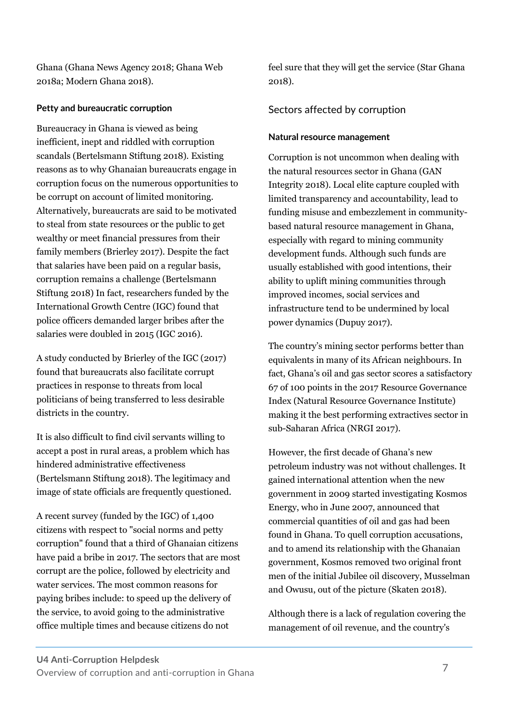Ghana (Ghana News Agency 2018; Ghana Web 2018a; Modern Ghana 2018).

## **Petty and bureaucratic corruption**

Bureaucracy in Ghana is viewed as being inefficient, inept and riddled with corruption scandals (Bertelsmann Stiftung 2018). Existing reasons as to why Ghanaian bureaucrats engage in corruption focus on the numerous opportunities to be corrupt on account of limited monitoring. Alternatively, bureaucrats are said to be motivated to steal from state resources or the public to get wealthy or meet financial pressures from their family members (Brierley 2017). Despite the fact that salaries have been paid on a regular basis, corruption remains a challenge (Bertelsmann Stiftung 2018) In fact, researchers funded by the International Growth Centre (IGC) found that police officers demanded larger bribes after the salaries were doubled in 2015 (IGC 2016).

A study conducted by Brierley of the IGC (2017) found that bureaucrats also facilitate corrupt practices in response to threats from local politicians of being transferred to less desirable districts in the country.

It is also difficult to find civil servants willing to accept a post in rural areas, a problem which has hindered administrative effectiveness (Bertelsmann Stiftung 2018). The legitimacy and image of state officials are frequently questioned.

A recent survey (funded by the IGC) of 1,400 citizens with respect to "social norms and petty corruption" found that a third of Ghanaian citizens have paid a bribe in 2017. The sectors that are most corrupt are the police, followed by electricity and water services. The most common reasons for paying bribes include: to speed up the delivery of the service, to avoid going to the administrative office multiple times and because citizens do not

feel sure that they will get the service (Star Ghana 2018).

# Sectors affected by corruption

## **Natural resource management**

Corruption is not uncommon when dealing with the natural resources sector in Ghana (GAN Integrity 2018). Local elite capture coupled with limited transparency and accountability, lead to funding misuse and embezzlement in communitybased natural resource management in Ghana, especially with regard to mining community development funds. Although such funds are usually established with good intentions, their ability to uplift mining communities through improved incomes, social services and infrastructure tend to be undermined by local power dynamics (Dupuy 2017).

The country's mining sector performs better than equivalents in many of its African neighbours. In fact, Ghana's oil and gas sector scores a satisfactory 67 of 100 points in the 2017 Resource Governance Index (Natural Resource Governance Institute) making it the best performing extractives sector in sub-Saharan Africa (NRGI 2017).

However, the first decade of Ghana's new petroleum industry was not without challenges. It gained international attention when the new government in 2009 started investigating Kosmos Energy, who in June 2007, announced that commercial quantities of oil and gas had been found in Ghana. To quell corruption accusations, and to amend its relationship with the Ghanaian government, Kosmos removed two original front men of the initial Jubilee oil discovery, Musselman and Owusu, out of the picture (Skaten 2018).

Although there is a lack of regulation covering the management of oil revenue, and the country's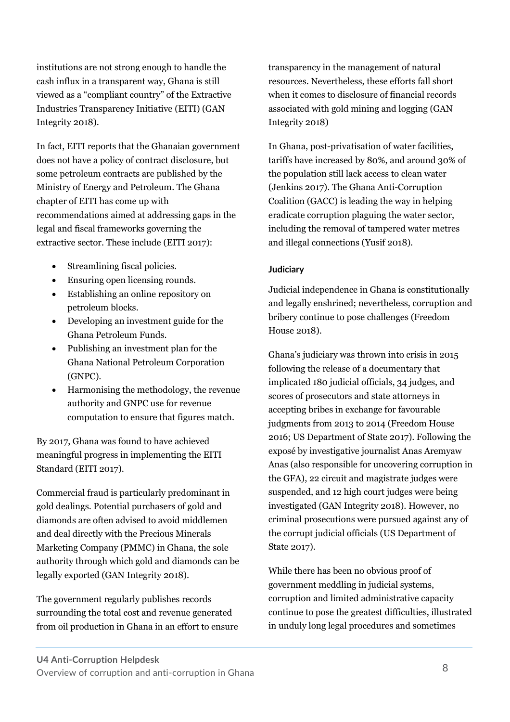institutions are not strong enough to handle the cash influx in a transparent way, Ghana is still viewed as a "compliant country" of the Extractive Industries Transparency Initiative (EITI) (GAN Integrity 2018).

In fact, EITI reports that the Ghanaian government does not have a policy of contract disclosure, but some petroleum contracts are published by the Ministry of Energy and Petroleum. The Ghana chapter of EITI has come up with recommendations aimed at addressing gaps in the legal and fiscal frameworks governing the extractive sector. These include (EITI 2017):

- Streamlining fiscal policies.
- Ensuring open licensing rounds.
- Establishing an online repository on petroleum blocks.
- Developing an investment guide for the Ghana Petroleum Funds.
- Publishing an investment plan for the Ghana National Petroleum Corporation (GNPC).
- Harmonising the methodology, the revenue authority and GNPC use for revenue computation to ensure that figures match.

By 2017, Ghana was found to have achieved meaningful progress in implementing the EITI Standard (EITI 2017).

Commercial fraud is particularly predominant in gold dealings. Potential purchasers of gold and diamonds are often advised to avoid middlemen and deal directly with the Precious Minerals Marketing Company (PMMC) in Ghana, the sole authority through which gold and diamonds can be legally exported (GAN Integrity 2018).

The government regularly publishes records surrounding the total cost and revenue generated from oil production in Ghana in an effort to ensure transparency in the management of natural resources. Nevertheless, these efforts fall short when it comes to disclosure of financial records associated with gold mining and logging (GAN Integrity 2018)

In Ghana, post-privatisation of water facilities, tariffs have increased by 80%, and around 30% of the population still lack access to clean water (Jenkins 2017). The Ghana Anti-Corruption Coalition (GACC) is leading the way in helping eradicate corruption plaguing the water sector, including the removal of tampered water metres and illegal connections (Yusif 2018).

#### **Judiciary**

Judicial independence in Ghana is constitutionally and legally enshrined; nevertheless, corruption and bribery continue to pose challenges (Freedom House 2018).

Ghana's judiciary was thrown into crisis in 2015 following the release of a documentary that implicated 180 judicial officials, 34 judges, and scores of prosecutors and state attorneys in accepting bribes in exchange for favourable judgments from 2013 to 2014 (Freedom House 2016; US Department of State 2017). Following the exposé by investigative journalist Anas Aremyaw Anas (also responsible for uncovering corruption in the GFA), 22 circuit and magistrate judges were suspended, and 12 high court judges were being investigated (GAN Integrity 2018). However, no criminal prosecutions were pursued against any of the corrupt judicial officials (US Department of State 2017).

While there has been no obvious proof of government meddling in judicial systems, corruption and limited administrative capacity continue to pose the greatest difficulties, illustrated in unduly long legal procedures and sometimes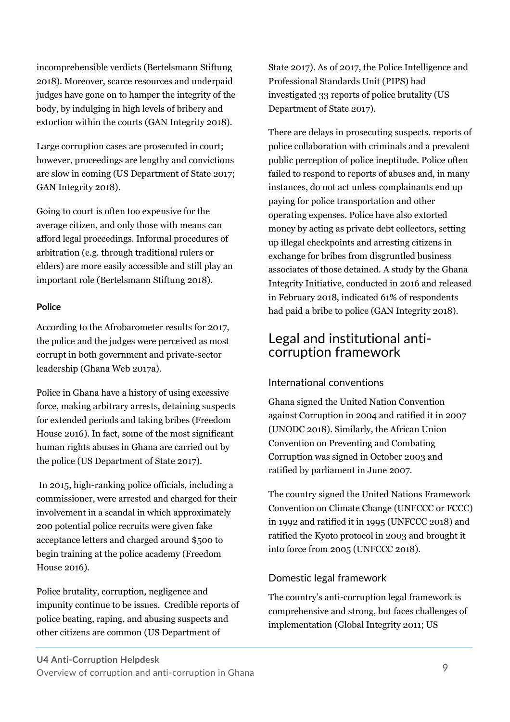incomprehensible verdicts (Bertelsmann Stiftung 2018). Moreover, scarce resources and underpaid judges have gone on to hamper the integrity of the body, by indulging in high levels of bribery and extortion within the courts (GAN Integrity 2018).

Large corruption cases are prosecuted in court; however, proceedings are lengthy and convictions are slow in coming (US Department of State 2017; GAN Integrity 2018).

Going to court is often too expensive for the average citizen, and only those with means can afford legal proceedings. Informal procedures of arbitration (e.g. through traditional rulers or elders) are more easily accessible and still play an important role (Bertelsmann Stiftung 2018).

# **Police**

According to the Afrobarometer results for 2017, the police and the judges were perceived as most corrupt in both government and private-sector leadership (Ghana Web 2017a).

Police in Ghana have a history of using excessive force, making arbitrary arrests, detaining suspects for extended periods and taking bribes (Freedom House 2016). In fact, some of the most significant human rights abuses in Ghana are carried out by the police (US Department of State 2017).

In 2015, high-ranking police officials, including a commissioner, were arrested and charged for their involvement in a scandal in which approximately 200 potential police recruits were given fake acceptance letters and charged around \$500 to begin training at the police academy (Freedom House 2016).

Police brutality, corruption, negligence and impunity continue to be issues. Credible reports of police beating, raping, and abusing suspects and other citizens are common (US Department of

State 2017). As of 2017, the Police Intelligence and Professional Standards Unit (PIPS) had investigated 33 reports of police brutality (US Department of State 2017).

There are delays in prosecuting suspects, reports of police collaboration with criminals and a prevalent public perception of police ineptitude. Police often failed to respond to reports of abuses and, in many instances, do not act unless complainants end up paying for police transportation and other operating expenses. Police have also extorted money by acting as private debt collectors, setting up illegal checkpoints and arresting citizens in exchange for bribes from disgruntled business associates of those detained. A study by the Ghana Integrity Initiative, conducted in 2016 and released in February 2018, indicated 61% of respondents had paid a bribe to police (GAN Integrity 2018).

# Legal and institutional anticorruption framework

# International conventions

Ghana signed the United Nation Convention against Corruption in 2004 and ratified it in 2007 (UNODC 2018). Similarly, the African Union Convention on Preventing and Combating Corruption was signed in October 2003 and ratified by parliament in June 2007.

The country signed the United Nations Framework Convention on Climate Change (UNFCCC or FCCC) in 1992 and ratified it in 1995 (UNFCCC 2018) and ratified the Kyoto protocol in 2003 and brought it into force from 2005 (UNFCCC 2018).

# Domestic legal framework

The country's anti-corruption legal framework is comprehensive and strong, but faces challenges of implementation (Global Integrity 2011; US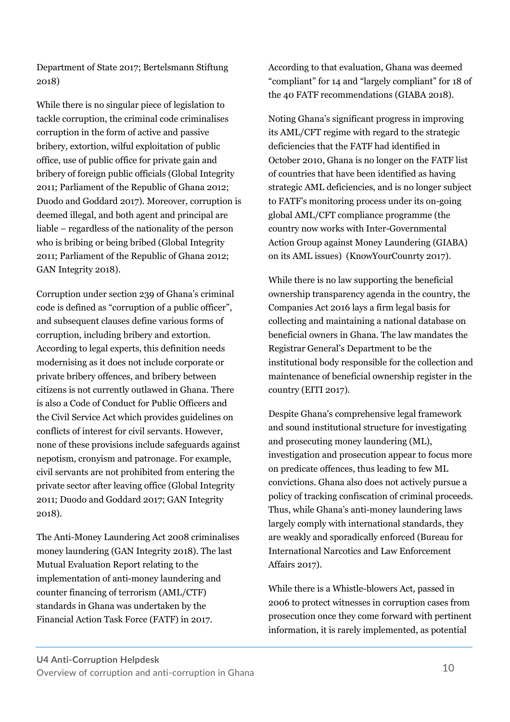Department of State 2017; Bertelsmann Stiftung 2018)

While there is no singular piece of legislation to tackle corruption, the criminal code criminalises corruption in the form of active and passive bribery, extortion, wilful exploitation of public office, use of public office for private gain and bribery of foreign public officials (Global Integrity 2011; Parliament of the Republic of Ghana 2012; Duodo and Goddard 2017). Moreover, corruption is deemed illegal, and both agent and principal are liable – regardless of the nationality of the person who is bribing or being bribed (Global Integrity 2011; Parliament of the Republic of Ghana 2012; GAN Integrity 2018).

Corruption under section 239 of Ghana's criminal code is defined as "corruption of a public officer", and subsequent clauses define various forms of corruption, including bribery and extortion. According to legal experts, this definition needs modernising as it does not include corporate or private bribery offences, and bribery between citizens is not currently outlawed in Ghana. There is also a Code of Conduct for Public Officers and the Civil Service Act which provides guidelines on conflicts of interest for civil servants. However, none of these provisions include safeguards against nepotism, cronyism and patronage. For example, civil servants are not prohibited from entering the private sector after leaving office (Global Integrity 2011; Duodo and Goddard 2017; GAN Integrity 2018).

The Anti-Money Laundering Act 2008 criminalises money laundering (GAN Integrity 2018). The last Mutual Evaluation Report relating to the implementation of anti-money laundering and counter financing of terrorism (AML/CTF) standards in Ghana was undertaken by the Financial Action Task Force (FATF) in 2017.

According to that evaluation, Ghana was deemed "compliant" for 14 and "largely compliant" for 18 of the 40 FATF recommendations (GIABA 2018).

Noting Ghana's significant progress in improving its AML/CFT regime with regard to the strategic deficiencies that the FATF had identified in October 2010, Ghana is no longer on the FATF list of countries that have been identified as having strategic AML deficiencies, and is no longer subject to FATF's monitoring process under its on-going global AML/CFT compliance programme (the country now works with Inter-Governmental Action Group against Money Laundering (GIABA) on its AML issues) (KnowYourCounrty 2017).

While there is no law supporting the beneficial ownership transparency agenda in the country, the Companies Act 2016 lays a firm legal basis for collecting and maintaining a national database on beneficial owners in Ghana. The law mandates the Registrar General's Department to be the institutional body responsible for the collection and maintenance of beneficial ownership register in the country (EITI 2017).

Despite Ghana's comprehensive legal framework and sound institutional structure for investigating and prosecuting money laundering (ML), investigation and prosecution appear to focus more on predicate offences, thus leading to few ML convictions. Ghana also does not actively pursue a policy of tracking confiscation of criminal proceeds. Thus, while Ghana's anti-money laundering laws largely comply with international standards, they are weakly and sporadically enforced (Bureau for International Narcotics and Law Enforcement Affairs 2017).

While there is a Whistle-blowers Act, passed in 2006 to protect witnesses in corruption cases from prosecution once they come forward with pertinent information, it is rarely implemented, as potential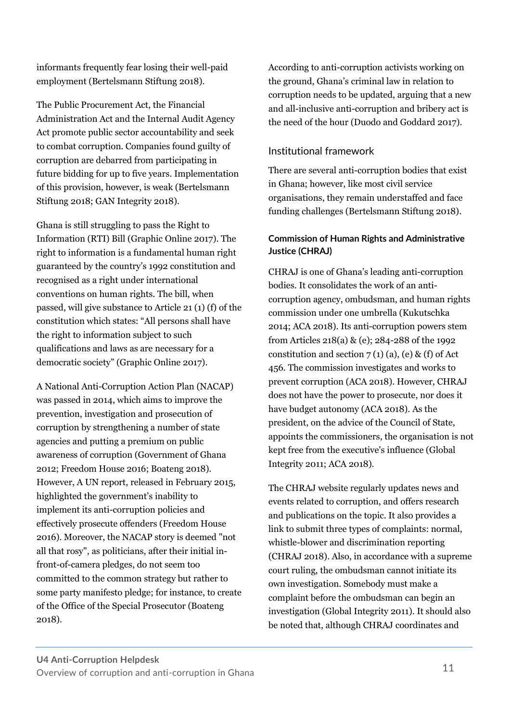informants frequently fear losing their well-paid employment (Bertelsmann Stiftung 2018).

The Public Procurement Act, the Financial Administration Act and the Internal Audit Agency Act promote public sector accountability and seek to combat corruption. Companies found guilty of corruption are debarred from participating in future bidding for up to five years. Implementation of this provision, however, is weak (Bertelsmann Stiftung 2018; GAN Integrity 2018).

Ghana is still struggling to pass the Right to Information (RTI) Bill (Graphic Online 2017). The right to information is a fundamental human right guaranteed by the country's 1992 constitution and recognised as a right under international conventions on human rights. The bill, when passed, will give substance to Article 21 (1) (f) of the constitution which states: "All persons shall have the right to information subject to such qualifications and laws as are necessary for a democratic society" (Graphic Online 2017).

A National Anti-Corruption Action Plan (NACAP) was passed in 2014, which aims to improve the prevention, investigation and prosecution of corruption by strengthening a number of state agencies and putting a premium on public awareness of corruption (Government of Ghana 2012; Freedom House 2016; Boateng 2018). However, A UN report, released in February 2015, highlighted the government's inability to implement its anti-corruption policies and effectively prosecute offenders (Freedom House 2016). Moreover, the NACAP story is deemed "not all that rosy", as politicians, after their initial infront-of-camera pledges, do not seem too committed to the common strategy but rather to some party manifesto pledge; for instance, to create of the Office of the Special Prosecutor (Boateng 2018).

According to anti-corruption activists working on the ground, Ghana's criminal law in relation to corruption needs to be updated, arguing that a new and all-inclusive anti-corruption and bribery act is the need of the hour (Duodo and Goddard 2017).

# Institutional framework

There are several anti-corruption bodies that exist in Ghana; however, like most civil service organisations, they remain understaffed and face funding challenges (Bertelsmann Stiftung 2018).

# **Commission of Human Rights and Administrative Justice (CHRAJ)**

CHRAJ is one of Ghana's leading anti-corruption bodies. It consolidates the work of an anticorruption agency, ombudsman, and human rights commission under one umbrella (Kukutschka 2014; ACA 2018). Its anti-corruption powers stem from Articles 218(a) & (e); 284-288 of the 1992 constitution and section  $7(1)(a)$ , (e) & (f) of Act 456. The commission investigates and works to prevent corruption (ACA 2018). However, CHRAJ does not have the power to prosecute, nor does it have budget autonomy (ACA 2018). As the president, on the advice of the Council of State, appoints the commissioners, the organisation is not kept free from the executive's influence (Global Integrity 2011; ACA 2018).

The CHRAJ website regularly updates news and events related to corruption, and offers research and publications on the topic. It also provides a link to submit three types of complaints: normal, whistle-blower and discrimination reporting (CHRAJ 2018). Also, in accordance with a supreme court ruling, the ombudsman cannot initiate its own investigation. Somebody must make a complaint before the ombudsman can begin an investigation (Global Integrity 2011). It should also be noted that, although CHRAJ coordinates and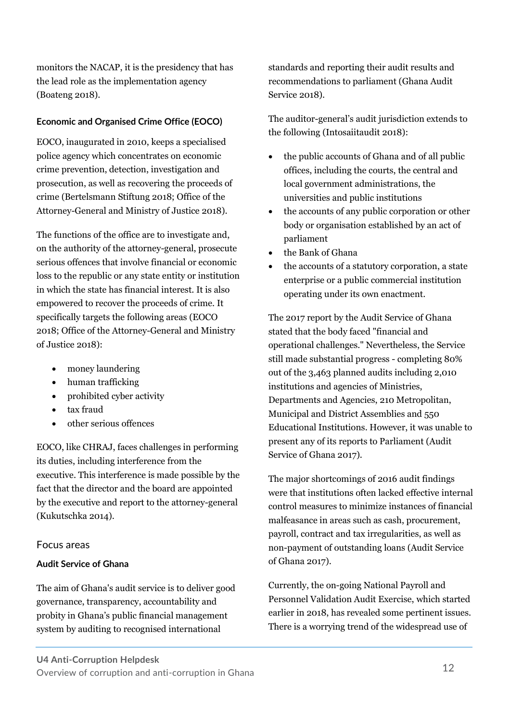monitors the NACAP, it is the presidency that has the lead role as the implementation agency (Boateng 2018).

# **Economic and Organised Crime Office (EOCO)**

EOCO, inaugurated in 2010, keeps a specialised police agency which concentrates on economic crime prevention, detection, investigation and prosecution, as well as recovering the proceeds of crime (Bertelsmann Stiftung 2018; Office of the Attorney-General and Ministry of Justice 2018).

The functions of the office are to investigate and, on the authority of the attorney-general, prosecute serious offences that involve financial or economic loss to the republic or any state entity or institution in which the state has financial interest. It is also empowered to recover the proceeds of crime. It specifically targets the following areas (EOCO 2018; Office of the Attorney-General and Ministry of Justice 2018):

- money laundering
- human trafficking
- prohibited cyber activity
- tax fraud
- other serious offences

EOCO, like CHRAJ, faces challenges in performing its duties, including interference from the executive. This interference is made possible by the fact that the director and the board are appointed by the executive and report to the attorney-general (Kukutschka 2014).

## Focus areas

## **Audit Service of Ghana**

The aim of Ghana's audit service is to deliver good governance, transparency, accountability and probity in Ghana's public financial management system by auditing to recognised international

standards and reporting their audit results and recommendations to parliament (Ghana Audit Service 2018).

The auditor-general's audit jurisdiction extends to the following (Intosaiitaudit 2018):

- the public accounts of Ghana and of all public offices, including the courts, the central and local government administrations, the universities and public institutions
- the accounts of any public corporation or other body or organisation established by an act of parliament
- the Bank of Ghana
- the accounts of a statutory corporation, a state enterprise or a public commercial institution operating under its own enactment.

The 2017 report by the Audit Service of Ghana stated that the body faced "financial and operational challenges." Nevertheless, the Service still made substantial progress - completing 80% out of the 3,463 planned audits including 2,010 institutions and agencies of Ministries, Departments and Agencies, 210 Metropolitan, Municipal and District Assemblies and 550 Educational Institutions. However, it was unable to present any of its reports to Parliament (Audit Service of Ghana 2017).

The major shortcomings of 2016 audit findings were that institutions often lacked effective internal control measures to minimize instances of financial malfeasance in areas such as cash, procurement, payroll, contract and tax irregularities, as well as non-payment of outstanding loans (Audit Service of Ghana 2017).

Currently, the on-going National Payroll and Personnel Validation Audit Exercise, which started earlier in 2018, has revealed some pertinent issues. There is a worrying trend of the widespread use of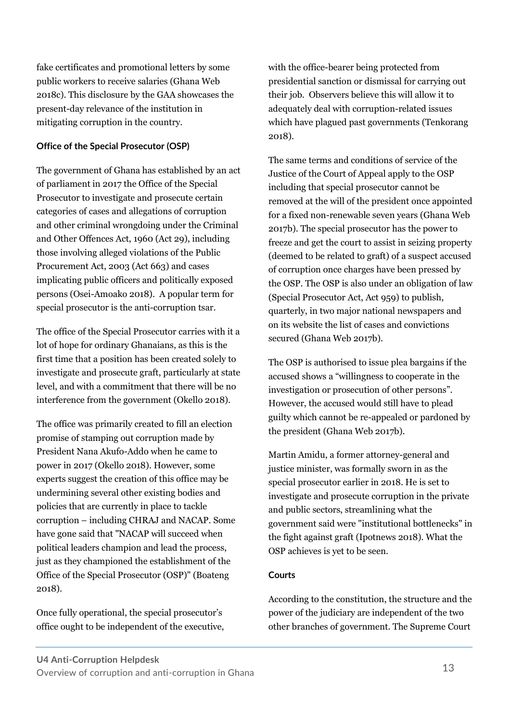fake certificates and promotional letters by some public workers to receive salaries (Ghana Web 2018c). This disclosure by the GAA showcases the present-day relevance of the institution in mitigating corruption in the country.

### **Office of the Special Prosecutor (OSP)**

The government of Ghana has established by an act of parliament in 2017 the Office of the Special Prosecutor to investigate and prosecute certain categories of cases and allegations of corruption and other criminal wrongdoing under the Criminal and Other Offences Act, 1960 (Act 29), including those involving alleged violations of the Public Procurement Act, 2003 (Act 663) and cases implicating public officers and politically exposed persons (Osei-Amoako 2018). A popular term for special prosecutor is the anti-corruption tsar.

The office of the Special Prosecutor carries with it a lot of hope for ordinary Ghanaians, as this is the first time that a position has been created solely to investigate and prosecute graft, particularly at state level, and with a commitment that there will be no interference from the government (Okello 2018).

The office was primarily created to fill an election promise of stamping out corruption made by President Nana Akufo-Addo when he came to power in 2017 (Okello 2018). However, some experts suggest the creation of this office may be undermining several other existing bodies and policies that are currently in place to tackle corruption – including CHRAJ and NACAP. Some have gone said that "NACAP will succeed when political leaders champion and lead the process, just as they championed the establishment of the Office of the Special Prosecutor (OSP)" (Boateng 2018).

Once fully operational, the special prosecutor's office ought to be independent of the executive, with the office-bearer being protected from presidential sanction or dismissal for carrying out their job. Observers believe this will allow it to adequately deal with corruption-related issues which have plagued past governments (Tenkorang 2018).

The same terms and conditions of service of the Justice of the Court of Appeal apply to the OSP including that special prosecutor cannot be removed at the will of the president once appointed for a fixed non-renewable seven years (Ghana Web 2017b). The special prosecutor has the power to freeze and get the court to assist in seizing property (deemed to be related to graft) of a suspect accused of corruption once charges have been pressed by the OSP. The OSP is also under an obligation of law (Special Prosecutor Act, Act 959) to publish, quarterly, in two major national newspapers and on its website the list of cases and convictions secured (Ghana Web 2017b).

The OSP is authorised to issue plea bargains if the accused shows a "willingness to cooperate in the investigation or prosecution of other persons". However, the accused would still have to plead guilty which cannot be re-appealed or pardoned by the president (Ghana Web 2017b).

Martin Amidu, a former attorney-general and justice minister, was formally sworn in as the special prosecutor earlier in 2018. He is set to investigate and prosecute corruption in the private and public sectors, streamlining what the government said were "institutional bottlenecks" in the fight against graft (Ipotnews 2018). What the OSP achieves is yet to be seen.

#### **Courts**

According to the constitution, the structure and the power of the judiciary are independent of the two other branches of government. The Supreme Court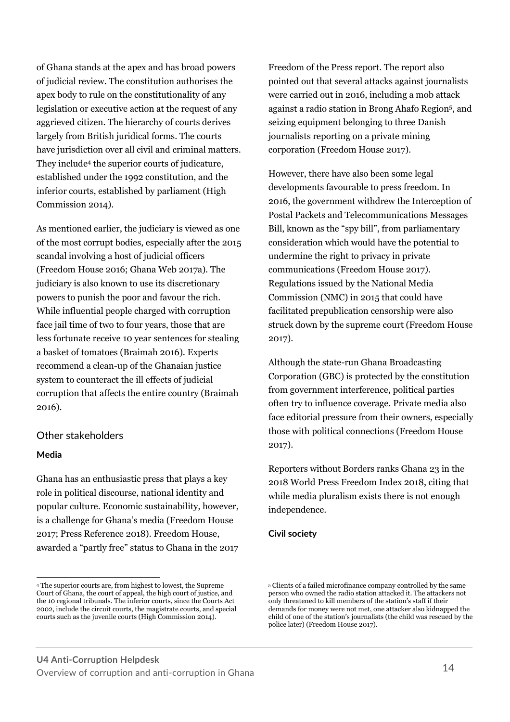of Ghana stands at the apex and has broad powers of judicial review. The constitution authorises the apex body to rule on the constitutionality of any legislation or executive action at the request of any aggrieved citizen. The hierarchy of courts derives largely from British juridical forms. The courts have jurisdiction over all civil and criminal matters. They include<sup>4</sup> the superior courts of judicature, established under the 1992 constitution, and the inferior courts, established by parliament (High Commission 2014).

As mentioned earlier, the judiciary is viewed as one of the most corrupt bodies, especially after the 2015 scandal involving a host of judicial officers (Freedom House 2016; Ghana Web 2017a). The judiciary is also known to use its discretionary powers to punish the poor and favour the rich. While influential people charged with corruption face jail time of two to four years, those that are less fortunate receive 10 year sentences for stealing a basket of tomatoes (Braimah 2016). Experts recommend a clean-up of the Ghanaian justice system to counteract the ill effects of judicial corruption that affects the entire country (Braimah 2016).

#### Other stakeholders

#### **Media**

 $\ddot{ }$ 

Ghana has an enthusiastic press that plays a key role in political discourse, national identity and popular culture. Economic sustainability, however, is a challenge for Ghana's media (Freedom House 2017; Press Reference 2018). Freedom House, awarded a "partly free" status to Ghana in the 2017

Freedom of the Press report. The report also pointed out that several attacks against journalists were carried out in 2016, including a mob attack against a radio station in Brong Ahafo Region<sup>5</sup> , and seizing equipment belonging to three Danish journalists reporting on a private mining corporation (Freedom House 2017).

However, there have also been some legal developments favourable to press freedom. In 2016, the government withdrew the Interception of Postal Packets and Telecommunications Messages Bill, known as the "spy bill", from parliamentary consideration which would have the potential to undermine the right to privacy in private communications (Freedom House 2017). Regulations issued by the National Media Commission (NMC) in 2015 that could have facilitated prepublication censorship were also struck down by the supreme court (Freedom House 2017).

Although the state-run Ghana Broadcasting Corporation (GBC) is protected by the constitution from government interference, political parties often try to influence coverage. Private media also face editorial pressure from their owners, especially those with political connections (Freedom House 2017).

Reporters without Borders ranks Ghana 23 in the 2018 World Press Freedom Index 2018, citing that while media pluralism exists there is not enough independence.

#### **Civil society**

<sup>4</sup> The superior courts are, from highest to lowest, the Supreme Court of Ghana, the court of appeal, the high court of justice, and the 10 regional tribunals. The inferior courts, since the Courts Act 2002, include the circuit courts, the magistrate courts, and special courts such as the juvenile courts (High Commission 2014).

<sup>5</sup> Clients of a failed microfinance company controlled by the same person who owned the radio station attacked it. The attackers not only threatened to kill members of the station's staff if their demands for money were not met, one attacker also kidnapped the child of one of the station's journalists (the child was rescued by the police later) (Freedom House 2017).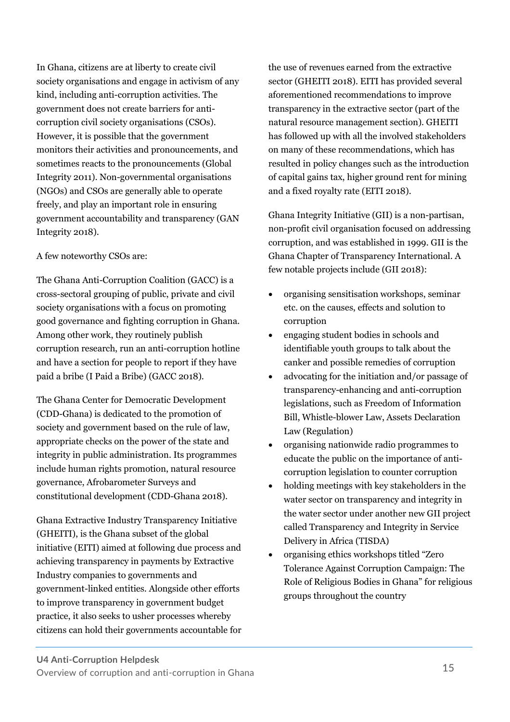In Ghana, citizens are at liberty to create civil society organisations and engage in activism of any kind, including anti-corruption activities. The government does not create barriers for anticorruption civil society organisations (CSOs). However, it is possible that the government monitors their activities and pronouncements, and sometimes reacts to the pronouncements (Global Integrity 2011). Non-governmental organisations (NGOs) and CSOs are generally able to operate freely, and play an important role in ensuring government accountability and transparency (GAN Integrity 2018).

### A few noteworthy CSOs are:

The Ghana Anti-Corruption Coalition (GACC) is a cross-sectoral grouping of public, private and civil society organisations with a focus on promoting good governance and fighting corruption in Ghana. Among other work, they routinely publish corruption research, run an anti-corruption hotline and have a section for people to report if they have paid a bribe (I Paid a Bribe) (GACC 2018).

The Ghana Center for Democratic Development (CDD-Ghana) is dedicated to the promotion of society and government based on the rule of law, appropriate checks on the power of the state and integrity in public administration. Its programmes include human rights promotion, natural resource governance, Afrobarometer Surveys and constitutional development (CDD-Ghana 2018).

Ghana Extractive Industry Transparency Initiative (GHEITI), is the Ghana subset of the global initiative (EITI) aimed at following due process and achieving transparency in payments by Extractive Industry companies to governments and government-linked entities. Alongside other efforts to improve transparency in government budget practice, it also seeks to usher processes whereby citizens can hold their governments accountable for the use of revenues earned from the extractive sector (GHEITI 2018). EITI has provided several aforementioned recommendations to improve transparency in the extractive sector (part of the natural resource management section). GHEITI has followed up with all the involved stakeholders on many of these recommendations, which has resulted in policy changes such as the introduction of capital gains tax, higher ground rent for mining and a fixed royalty rate (EITI 2018).

Ghana Integrity Initiative (GII) is a non-partisan, non-profit civil organisation focused on addressing corruption, and was established in 1999. GII is the Ghana Chapter of Transparency International. A few notable projects include (GII 2018):

- organising sensitisation workshops, seminar etc. on the causes, effects and solution to corruption
- engaging student bodies in schools and identifiable youth groups to talk about the canker and possible remedies of corruption
- advocating for the initiation and/or passage of transparency-enhancing and anti-corruption legislations, such as Freedom of Information Bill, Whistle-blower Law, Assets Declaration Law (Regulation)
- organising nationwide radio programmes to educate the public on the importance of anticorruption legislation to counter corruption
- holding meetings with key stakeholders in the water sector on transparency and integrity in the water sector under another new GII project called Transparency and Integrity in Service Delivery in Africa (TISDA)
- organising ethics workshops titled "Zero Tolerance Against Corruption Campaign: The Role of Religious Bodies in Ghana" for religious groups throughout the country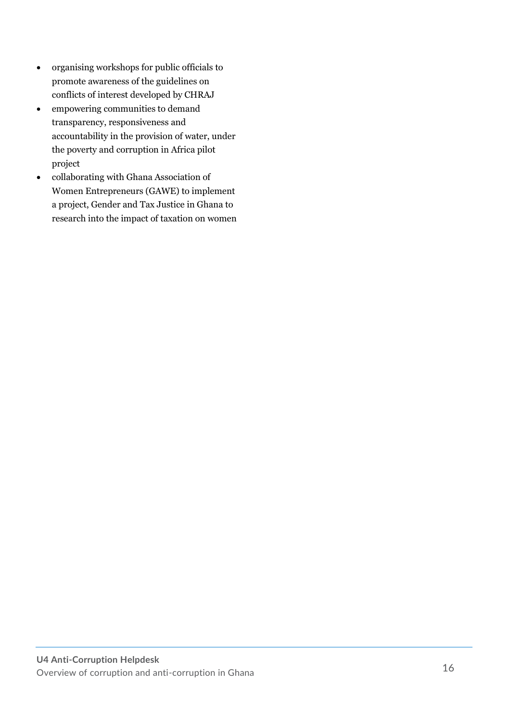- organising workshops for public officials to promote awareness of the guidelines on conflicts of interest developed by CHRAJ
- empowering communities to demand transparency, responsiveness and accountability in the provision of water, under the poverty and corruption in Africa pilot project
- collaborating with Ghana Association of Women Entrepreneurs (GAWE) to implement a project, Gender and Tax Justice in Ghana to research into the impact of taxation on women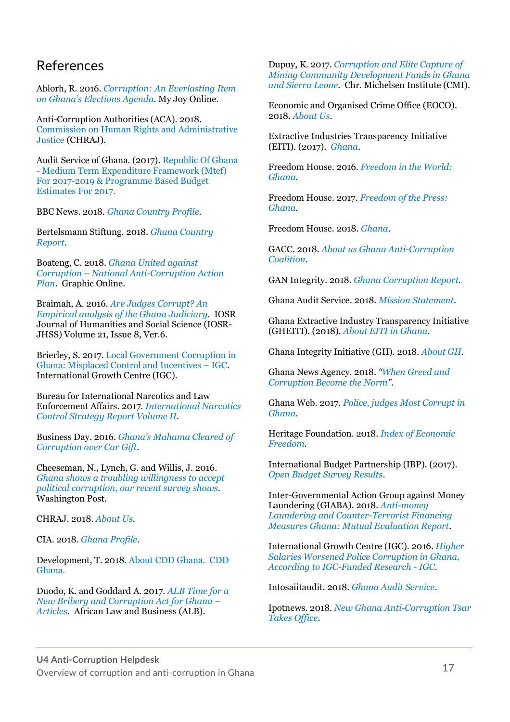# References

Ablorh, R. 2016. *[Corruption: An Everlasting Item](https://www.myjoyonline.com/opinion/2016/May-27th/corruption-an-everlasting-item-on-ghanas-elections-agenda.php)  [on Ghana's Elections Agenda](https://www.myjoyonline.com/opinion/2016/May-27th/corruption-an-everlasting-item-on-ghanas-elections-agenda.php)*. My Joy Online.

Anti-Corruption Authorities (ACA). 2018. [Commission on Human Rights and Administrative](https://www.acauthorities.org/country/ghana)  [Justice](https://www.acauthorities.org/country/ghana) (CHRAJ).

Audit Service of Ghana. (2017). [Republic Of Ghana](https://www.mofep.gov.gh/sites/default/files/pbb-estimates/2017/2017-PBB-AS.pdf)  - [Medium Term Expenditure Framework \(Mtef\)](https://www.mofep.gov.gh/sites/default/files/pbb-estimates/2017/2017-PBB-AS.pdf)  [For 2017-2019 & Programme Based Budget](https://www.mofep.gov.gh/sites/default/files/pbb-estimates/2017/2017-PBB-AS.pdf)  [Estimates For 2017.](https://www.mofep.gov.gh/sites/default/files/pbb-estimates/2017/2017-PBB-AS.pdf)

BBC News. 2018. *[Ghana Country Profile](https://www.bbc.com/news/world-africa-13433790)*.

Bertelsmann Stiftung. 2018. *[Ghana Country](https://www.bti-project.org/en/reports/country-reports/detail/itc/GHA/)  [Report](https://www.bti-project.org/en/reports/country-reports/detail/itc/GHA/)*.

Boateng, C. 2018. *[Ghana United against](https://www.graphic.com.gh/features/features/ghana-united-against-corruption-the-national-anti-corruption-action-plan.html)  Corruption – [National Anti-Corruption Action](https://www.graphic.com.gh/features/features/ghana-united-against-corruption-the-national-anti-corruption-action-plan.html)  [Plan](https://www.graphic.com.gh/features/features/ghana-united-against-corruption-the-national-anti-corruption-action-plan.html)*. Graphic Online.

Braimah, A. 2016. *[Are Judges Corrupt? An](https://www.researchgate.net/publication/307614067_Are_Judges_Corruptan_Empirical_analysis_ofthe_Ghana_Judiciary)  [Empirical analysis of the](https://www.researchgate.net/publication/307614067_Are_Judges_Corruptan_Empirical_analysis_ofthe_Ghana_Judiciary) Ghana Judiciary*. IOSR Journal of Humanities and Social Science (IOSR-JHSS) Volume 21, Issue 8, Ver.6.

Brierley, S. 2017. [Local Government Corruption in](https://www.theigc.org/blog/local-government-corruption-ghana-misplaced-control-incentives/)  [Ghana: Misplaced Control and Incentives](https://www.theigc.org/blog/local-government-corruption-ghana-misplaced-control-incentives/) – IGC. International Growth Centre (IGC).

Bureau for International Narcotics and Law Enforcement Affairs. 2017. *[International Narcotics](https://www.state.gov/documents/organization/268024.pdf)  [Control Strategy Report Volume II](https://www.state.gov/documents/organization/268024.pdf)*.

Business Day. 2016. *[Ghana's Mahama](https://www.businesslive.co.za/bd/world/africa/2016-09-29-ghanas-mahama-cleared-of-corruption-over-car-gift/%20%20%20%20%20Business%20Ghana.%202017.%20Corruption%20Has%20Taken%20Ghana%20to%20the%20Dark%20Ages%20–%20Financial%20Expert.%20%20https:/www.businessghana.com/site/news/business/141737/Corruption-has-taken-Ghana-to-the-dark-ages-Financial-Expert) Cleared of [Corruption over Car Gift](https://www.businesslive.co.za/bd/world/africa/2016-09-29-ghanas-mahama-cleared-of-corruption-over-car-gift/%20%20%20%20%20Business%20Ghana.%202017.%20Corruption%20Has%20Taken%20Ghana%20to%20the%20Dark%20Ages%20–%20Financial%20Expert.%20%20https:/www.businessghana.com/site/news/business/141737/Corruption-has-taken-Ghana-to-the-dark-ages-Financial-Expert)*.

Cheeseman, N., Lynch, G. and Willis, J. 2016. *[Ghana shows a troubling willingness to accept](https://www.washingtonpost.com/news/monkey-cage/wp/2016/12/21/yes-ghana-had-a-peaceful-transfer-of-power-but-its-citizens-accept-some-troubling-practices-as-part-of-democracy/?noredirect=on&utm_term=.92809f9fe430)  [political corruption, our](https://www.washingtonpost.com/news/monkey-cage/wp/2016/12/21/yes-ghana-had-a-peaceful-transfer-of-power-but-its-citizens-accept-some-troubling-practices-as-part-of-democracy/?noredirect=on&utm_term=.92809f9fe430) recent survey shows.* Washington Post.

CHRAJ. 2018. *[About Us](https://chraj.gov.gh/)*.

CIA. 2018. *[Ghana Profile](http://www.ciaworldfactbook.us/africa/ghana.html)*.

Development, T. 2018. [About CDD Ghana. CDD](http://www.cddgh.org/program-areas)  [Ghana.](http://www.cddgh.org/program-areas)

Duodo, K. and Goddard A. 2017. *[ALB Time for a](https://www.africanlawbusiness.com/news/7152-time-for-a-new-bribery-and-corruption-act-for-ghana)  [New Bribery and Corruption Act for Ghana](https://www.africanlawbusiness.com/news/7152-time-for-a-new-bribery-and-corruption-act-for-ghana) – [Articles](https://www.africanlawbusiness.com/news/7152-time-for-a-new-bribery-and-corruption-act-for-ghana)*. African Law and Business (ALB).

Dupuy, K. 2017. *[Corruption and Elite Capture of](https://www.cmi.no/publications/5875-corruption-and-elite-capture-of-mining-community)  [Mining Community Development Funds in](https://www.cmi.no/publications/5875-corruption-and-elite-capture-of-mining-community) Ghana [and Sierra Leone](https://www.cmi.no/publications/5875-corruption-and-elite-capture-of-mining-community)*. Chr. Michelsen Institute (CMI).

Economic and Organised Crime Office (EOCO). 2018. *[About Us](http://eoco.org.gh/about/)*.

Extractive Industries Transparency Initiative (EITI). (2017). *[Ghana](https://eiti.org/ghana)*.

Freedom House. 2016. *[Freedom in the World:](https://freedomhouse.org/report/freedom-world/2016/ghana)  [Ghana](https://freedomhouse.org/report/freedom-world/2016/ghana)*.

Freedom House. 2017. *[Freedom of the Press:](https://freedomhouse.org/report/freedom-press/2017/ghana)  [Ghana](https://freedomhouse.org/report/freedom-press/2017/ghana)*.

Freedom House. 2018. *[Ghana](https://freedomhouse.org/report/freedom-world/2018/ghana)*.

GACC. 2018. *[About us Ghana Anti-Corruption](http://www.gaccgh.org/maincat_select.cfm?corpnews_catid=6#.W5eWUyOB0dU)  [Coalition](http://www.gaccgh.org/maincat_select.cfm?corpnews_catid=6#.W5eWUyOB0dU)*.

GAN Integrity. 2018. *[Ghana Corruption Report](https://www.business-anti-corruption.com/country-profiles/ghana/)*.

Ghana Audit Service. 2018. *[Mission Statement](https://ghaudit.bitconsultgh.com/2018/04/26/mission-statement/)*.

Ghana Extractive Industry Transparency Initiative (GHEITI). (2018). *[About EITI in Ghana](http://www.gheiti.gov.gh/site/index.php?option=com_content&view=article&id=78&Itemid=55)*.

Ghana Integrity Initiative (GII). 2018. *[About GII](https://www.tighana.org/)*.

Ghana News Agency. 2018. *"[When Greed and](http://www.ghananewsagency.org/sports/-when-greed-and-corruption-become-the-norm-set-to-premier-on-june-6-2018-133674)  [Corruption Become the Norm](http://www.ghananewsagency.org/sports/-when-greed-and-corruption-become-the-norm-set-to-premier-on-june-6-2018-133674)"*.

Ghana Web. 2017. *[Police, judges Most Corrupt in](https://www.ghanaweb.com/GhanaHomePage/NewsArchive/Police-judges-most-corrupt-in-Ghana-CDD-606694%20%20%20%20Ghana%20Web.%202017.%20What’s%20Special%20about%20the%20Special%20Prosecutor?%20%20https://www.ghanaweb.com/GhanaHomePage/features/What-s-special-about-the-Special-Prosecutor-601898%20%20%20%20Ghana%20Web.%202018a.%20All%20Set%20for%20Premier%20of%20Anas’#Number12 investigative film.  https://www.ghanaweb.com/GhanaHomePage/NewsArchive/All-set-for-premier-of-Anas-Number12-investigative-film-657946    Ghana Web. 2018b. Anas’ Expose on Ghana Football (Number12).  https://www.ghanaweb.com/GhanaHomePage/soccer/)  [Ghana](https://www.ghanaweb.com/GhanaHomePage/NewsArchive/Police-judges-most-corrupt-in-Ghana-CDD-606694%20%20%20%20Ghana%20Web.%202017.%20What’s%20Special%20about%20the%20Special%20Prosecutor?%20%20https://www.ghanaweb.com/GhanaHomePage/features/What-s-special-about-the-Special-Prosecutor-601898%20%20%20%20Ghana%20Web.%202018a.%20All%20Set%20for%20Premier%20of%20Anas’#Number12 investigative film.  https://www.ghanaweb.com/GhanaHomePage/NewsArchive/All-set-for-premier-of-Anas-Number12-investigative-film-657946    Ghana Web. 2018b. Anas’ Expose on Ghana Football (Number12).  https://www.ghanaweb.com/GhanaHomePage/soccer/)*.

Heritage Foundation. 2018. *[Index of Economic](https://www.heritage.org/index/country/ghana)  [Freedom](https://www.heritage.org/index/country/ghana)*.

International Budget Partnership (IBP). (2017). *[Open Budget Survey Results](https://www.internationalbudget.org/open-budget-survey/results-by-country/country-info/?country=gh)*.

Inter-Governmental Action Group against Money Laundering (GIABA). 2018. *[Anti-money](http://www.fatf-gafi.org/media/fatf/documents/reports/mer-fsrb/GIABA-Ghana-MER-2018.pdf)  [Laundering and Counter-Terrorist Financing](http://www.fatf-gafi.org/media/fatf/documents/reports/mer-fsrb/GIABA-Ghana-MER-2018.pdf)  [Measures Ghana: Mutual Evaluation Report](http://www.fatf-gafi.org/media/fatf/documents/reports/mer-fsrb/GIABA-Ghana-MER-2018.pdf)*.

International Growth Centre (IGC). 2016. *[Higher](https://www.theigc.org/news-item/higher-salaries-worsened-police-corruption-in-ghana-according-to-igc-funded-research/)  [Salaries Worsened Police Corruption in Ghana,](https://www.theigc.org/news-item/higher-salaries-worsened-police-corruption-in-ghana-according-to-igc-funded-research/)  [According to IGC-Funded Research -](https://www.theigc.org/news-item/higher-salaries-worsened-police-corruption-in-ghana-according-to-igc-funded-research/) IGC*.

Intosaiitaudit. 2018. *[Ghana Audit Service](http://intosaiitaudit.org/mandates/writeups/ghana.htm)*.

Ipotnews. 2018. *[New Ghana Anti-Corruption Tsar](https://www.indopremier.com/ipotnews/newsDetail.php?jdl=New_Ghana_anti_corruption_tsar_takes_office&news_id=1358822&group_news=ALLNEWS&taging_subtype=GHANA&name=&search=y_general&q=GHANA,%20&halaman=1)  [Takes Office](https://www.indopremier.com/ipotnews/newsDetail.php?jdl=New_Ghana_anti_corruption_tsar_takes_office&news_id=1358822&group_news=ALLNEWS&taging_subtype=GHANA&name=&search=y_general&q=GHANA,%20&halaman=1)*.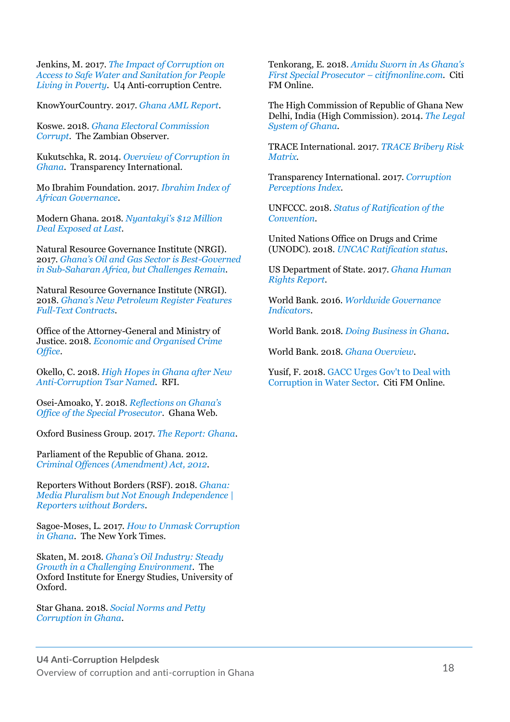Jenkins, M. 2017. *[The Impact of Corruption on](https://www.u4.no/publications/the-impact-of-corruption-on-access-to-safe-water-and-sanitation-for-people-living-in-poverty.pdf)  [Access to Safe Water and Sanitation for People](https://www.u4.no/publications/the-impact-of-corruption-on-access-to-safe-water-and-sanitation-for-people-living-in-poverty.pdf)  [Living in Poverty](https://www.u4.no/publications/the-impact-of-corruption-on-access-to-safe-water-and-sanitation-for-people-living-in-poverty.pdf)*. U4 Anti-corruption Centre.

KnowYourCountry. 2017. *[Ghana AML Report](https://www.knowyourcountry.com/ghana1111)*.

Koswe. 2018. *[Ghana Electoral Commission](https://www.zambianobserver.com/ghana-electoral-commission-corrupt-president/)  [Corrupt](https://www.zambianobserver.com/ghana-electoral-commission-corrupt-president/)*. The Zambian Observer.

Kukutschka, R. 2014. *[Overview of Corruption in](https://knowledgehub.transparency.org/assets/uploads/helpdesk/Country_profile_Ghana_2014.pdf)  [Ghana](https://knowledgehub.transparency.org/assets/uploads/helpdesk/Country_profile_Ghana_2014.pdf)*. Transparency International.

Mo Ibrahim Foundation. 2017. *[Ibrahim Index of](http://s.mo.ibrahim.foundation/u/2017/11/21165610/2017-IIAG-Report.pdf?_ga=2.253668937.1942901850.1517602704-502629705.1517602704)  [African Governance](http://s.mo.ibrahim.foundation/u/2017/11/21165610/2017-IIAG-Report.pdf?_ga=2.253668937.1942901850.1517602704-502629705.1517602704)*.

Modern Ghana. 2018. *[Nyantakyi's \\$12 Million](https://www.modernghana.com/news/859536/nyantakyis-12-million-deal-exposed-at-last.html)  [Deal Exposed at Last](https://www.modernghana.com/news/859536/nyantakyis-12-million-deal-exposed-at-last.html)*.

Natural Resource Governance Institute (NRGI). 2017. *[Ghana's Oil and Gas Sector is Best](https://resourcegovernance.org/news/ghana-oil-and-gas-sector-best-governed-sub-saharan-africa-challenges-remain)-Governed [in Sub-Saharan Africa, but Challenges Remain](https://resourcegovernance.org/news/ghana-oil-and-gas-sector-best-governed-sub-saharan-africa-challenges-remain)*.

Natural Resource Governance Institute (NRGI). 2018. *[Ghana's New Petroleum Register Features](https://resourcegovernance.org/blog/ghana-new-petroleum-register-features-full-text-contracts)  [Full-Text Contracts](https://resourcegovernance.org/blog/ghana-new-petroleum-register-features-full-text-contracts)*.

Office of the Attorney-General and Ministry of Justice. 2018. *[Economic and Organised Crime](http://www.mojagd.gov.gh/economic-and-organised-crime-office)  [Office](http://www.mojagd.gov.gh/economic-and-organised-crime-office)*.

Okello, C. 2018. *[High Hopes in Ghana after New](http://en.rfi.fr/africa/20180112-ghana-steps-fight-corruption-new-tsar)  [Anti-Corruption Tsar Named](http://en.rfi.fr/africa/20180112-ghana-steps-fight-corruption-new-tsar)*. RFI.

Osei-Amoako, Y. 2018. *[Reflections on Ghana's](https://www.ghanaweb.com/GhanaHomePage/NewsArchive/Reflections-on-Ghana-s-Office-of-the-special-prosecutor-1-618041)  [Office of the Special Prosecutor](https://www.ghanaweb.com/GhanaHomePage/NewsArchive/Reflections-on-Ghana-s-Office-of-the-special-prosecutor-1-618041)*. Ghana Web.

Oxford Business Group. 2017. *[The Report: Ghana](https://oxfordbusinessgroup.com/ghana-2017/country-profile)*.

Parliament of the Republic of Ghana. 2012. *[Criminal Offences \(Amendment\) Act, 2012](http://www.refworld.org/pdfid/44bf823a4.pdf)*.

Reporters Without Borders (RSF). 2018. *[Ghana:](https://rsf.org/en/ghana)  [Media Pluralism but Not Enough Independence |](https://rsf.org/en/ghana)  [Reporters without Borders](https://rsf.org/en/ghana)*.

Sagoe-Moses, L. 2017. *[How to Unmask Corruption](https://www.nytimes.com/2017/05/25/opinion/how-to-unmask-corruption-in-ghana.html)  [in Ghana](https://www.nytimes.com/2017/05/25/opinion/how-to-unmask-corruption-in-ghana.html)*. The New York Times.

Skaten, M. 2018. *[Ghana's Oil Industry: Steady](https://www.oxfordenergy.org/wpcms/wp-content/uploads/2018/04/Ghanas-Oil-Industry-Steady-growth-in-a-challenging-environment-WPM-77.pdf)  [Growth in a Challenging Environment](https://www.oxfordenergy.org/wpcms/wp-content/uploads/2018/04/Ghanas-Oil-Industry-Steady-growth-in-a-challenging-environment-WPM-77.pdf)*. The Oxford Institute for Energy Studies, University of Oxford.

Star Ghana. 2018. *[Social Norms and Petty](http://www.star-ghana.org/stories-of-change-2/275-social-norms-and-petty-corruption-in-ghana)  [Corruption in Ghana](http://www.star-ghana.org/stories-of-change-2/275-social-norms-and-petty-corruption-in-ghana)*.

Tenkorang, E. 2018. *[Amidu Sworn in As Ghana's](http://citifmonline.com/2018/02/23/amidu-sworn-in-as-ghanas-first-special-prosecutor/)  [First Special Prosecutor](http://citifmonline.com/2018/02/23/amidu-sworn-in-as-ghanas-first-special-prosecutor/) – citifmonline.com*. Citi FM Online.

The High Commission of Republic of Ghana New Delhi, India (High Commission). 2014. *[The Legal](http://www.ghana-mission.co.in/hcg.php?id=legal)  [System of Ghana](http://www.ghana-mission.co.in/hcg.php?id=legal)*.

TRACE International. 2017. *[TRACE Bribery Risk](https://www.traceinternational.org/trace-matrix)  [Matrix](https://www.traceinternational.org/trace-matrix)*.

Transparency International. 2017. *[Corruption](https://www.transparency.org/news/feature/corruption_perceptions_index_2017)  [Perceptions Index](https://www.transparency.org/news/feature/corruption_perceptions_index_2017)*.

UNFCCC. 2018. *[Status of Ratification of the](https://unfccc.int/process/the-convention/what-is-the-convention/status-of-ratification-of-the-convention)  [Convention](https://unfccc.int/process/the-convention/what-is-the-convention/status-of-ratification-of-the-convention)*.

United Nations Office on Drugs and Crime (UNODC). 2018. *[UNCAC Ratification status](https://www.unodc.org/unodc/en/corruption/ratification-status.html)*.

US Department of State. 2017. *[Ghana Human](https://www.state.gov/documents/organization/277249.pdf)  [Rights Report](https://www.state.gov/documents/organization/277249.pdf)*.

World Bank. 2016. *[Worldwide Governance](http://databank.worldbank.org/data/reports.aspx?source=Worldwide-Governance-Indicators)  [Indicators](http://databank.worldbank.org/data/reports.aspx?source=Worldwide-Governance-Indicators)*.

World Bank. 2018. *[Doing Business in Ghana](http://www.doingbusiness.org/data/exploreeconomies/ghana)*.

World Bank. 2018. *[Ghana Overview](http://www.worldbank.org/en/country/ghana/overview)*.

Yusif, F. 2018. [GACC Urges Gov't to Deal with](http://citifmonline.com/2018/03/23/gacc-urges-govt-to-deal-with-corruption-in-water-sector/)  [Corruption in Water Sector.](http://citifmonline.com/2018/03/23/gacc-urges-govt-to-deal-with-corruption-in-water-sector/) Citi FM Online.